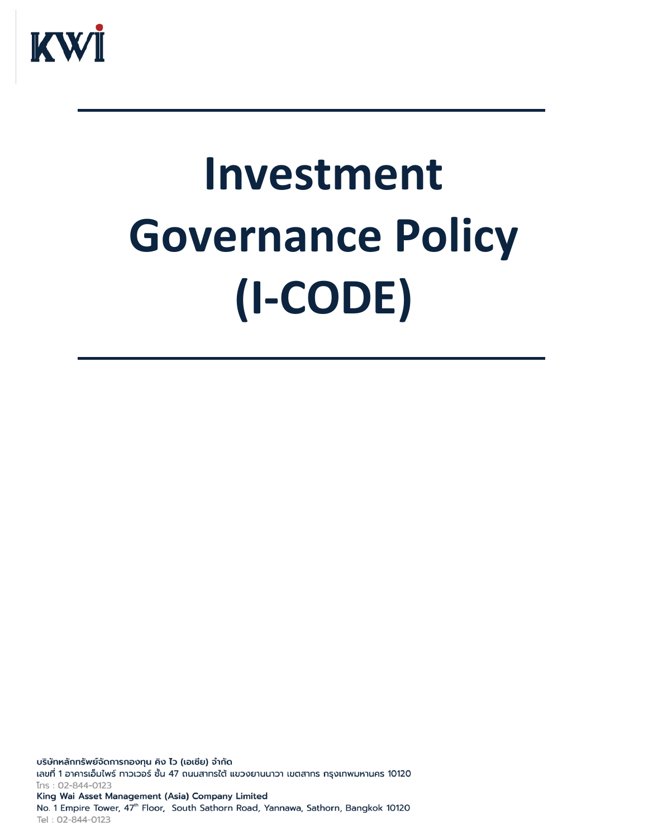

# **Investment Governance Policy (I-CODE)**

บริษัทหลักทรัพย์จัดการกองทุน คิง ไว (เอเชีย) จำกัด เลขที่ 1 อาคารเอ็มไพร์ ทาวเวอร์ ชั้น 47 ถนนสาทรใต้ แขวงยานนาวา เขตสาทร กรุงเทพมหานคร 10120 Ins: 02-844-0123 King Wai Asset Management (Asia) Company Limited No. 1 Empire Tower, 47th Floor, South Sathorn Road, Yannawa, Sathorn, Bangkok 10120 Tel: 02-844-0123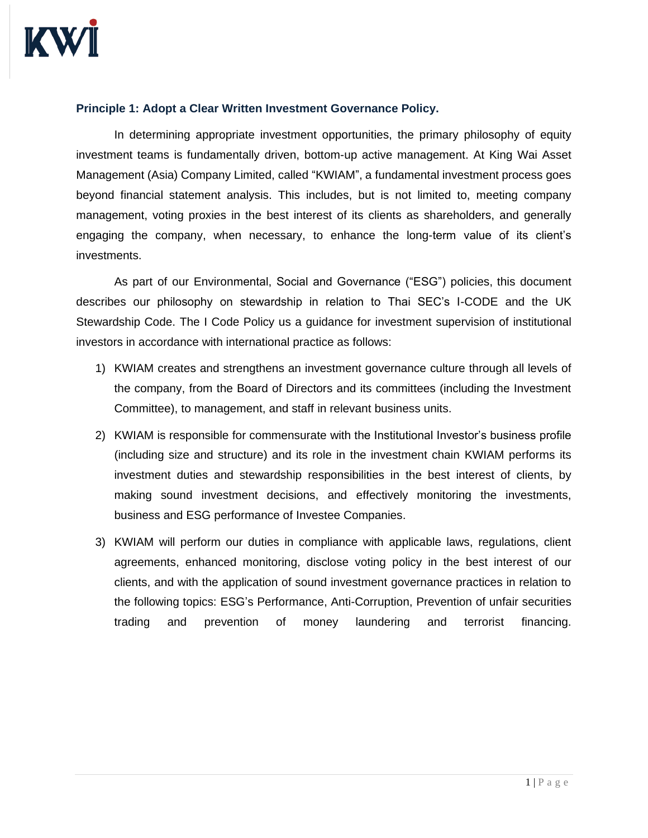

#### **Principle 1: Adopt a Clear Written Investment Governance Policy.**

In determining appropriate investment opportunities, the primary philosophy of equity investment teams is fundamentally driven, bottom-up active management. At King Wai Asset Management (Asia) Company Limited, called "KWIAM", a fundamental investment process goes beyond financial statement analysis. This includes, but is not limited to, meeting company management, voting proxies in the best interest of its clients as shareholders, and generally engaging the company, when necessary, to enhance the long-term value of its client's investments.

As part of our Environmental, Social and Governance ("ESG") policies, this document describes our philosophy on stewardship in relation to Thai SEC's I-CODE and the UK Stewardship Code. The I Code Policy us a guidance for investment supervision of institutional investors in accordance with international practice as follows:

- 1) KWIAM creates and strengthens an investment governance culture through all levels of the company, from the Board of Directors and its committees (including the Investment Committee), to management, and staff in relevant business units.
- 2) KWIAM is responsible for commensurate with the Institutional Investor's business profile (including size and structure) and its role in the investment chain KWIAM performs its investment duties and stewardship responsibilities in the best interest of clients, by making sound investment decisions, and effectively monitoring the investments, business and ESG performance of Investee Companies.
- 3) KWIAM will perform our duties in compliance with applicable laws, regulations, client agreements, enhanced monitoring, disclose voting policy in the best interest of our clients, and with the application of sound investment governance practices in relation to the following topics: ESG's Performance, Anti-Corruption, Prevention of unfair securities trading and prevention of money laundering and terrorist financing.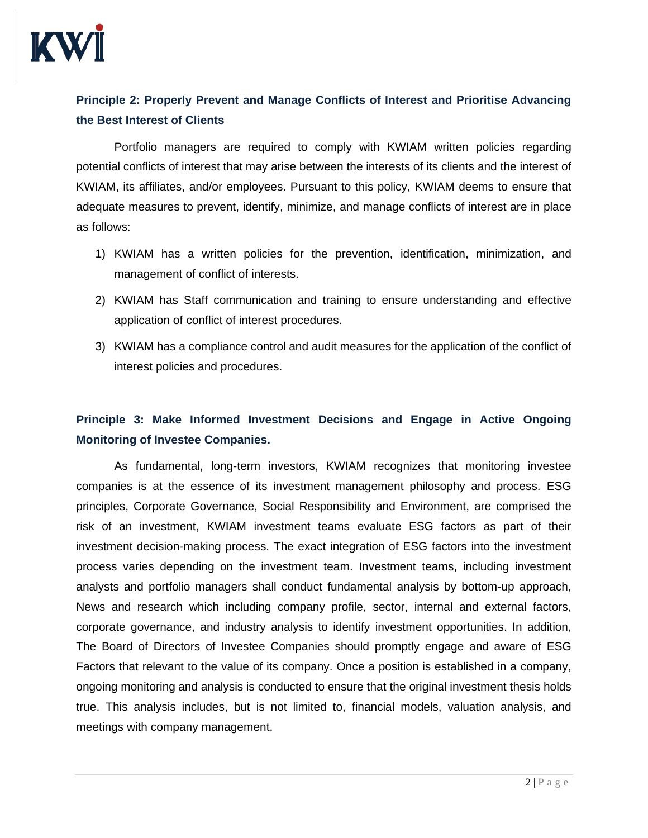

## **Principle 2: Properly Prevent and Manage Conflicts of Interest and Prioritise Advancing the Best Interest of Clients**

Portfolio managers are required to comply with KWIAM written policies regarding potential conflicts of interest that may arise between the interests of its clients and the interest of KWIAM, its affiliates, and/or employees. Pursuant to this policy, KWIAM deems to ensure that adequate measures to prevent, identify, minimize, and manage conflicts of interest are in place as follows:

- 1) KWIAM has a written policies for the prevention, identification, minimization, and management of conflict of interests.
- 2) KWIAM has Staff communication and training to ensure understanding and effective application of conflict of interest procedures.
- 3) KWIAM has a compliance control and audit measures for the application of the conflict of interest policies and procedures.

### **Principle 3: Make Informed Investment Decisions and Engage in Active Ongoing Monitoring of Investee Companies.**

As fundamental, long-term investors, KWIAM recognizes that monitoring investee companies is at the essence of its investment management philosophy and process. ESG principles, Corporate Governance, Social Responsibility and Environment, are comprised the risk of an investment, KWIAM investment teams evaluate ESG factors as part of their investment decision-making process. The exact integration of ESG factors into the investment process varies depending on the investment team. Investment teams, including investment analysts and portfolio managers shall conduct fundamental analysis by bottom-up approach, News and research which including company profile, sector, internal and external factors, corporate governance, and industry analysis to identify investment opportunities. In addition, The Board of Directors of Investee Companies should promptly engage and aware of ESG Factors that relevant to the value of its company. Once a position is established in a company, ongoing monitoring and analysis is conducted to ensure that the original investment thesis holds true. This analysis includes, but is not limited to, financial models, valuation analysis, and meetings with company management.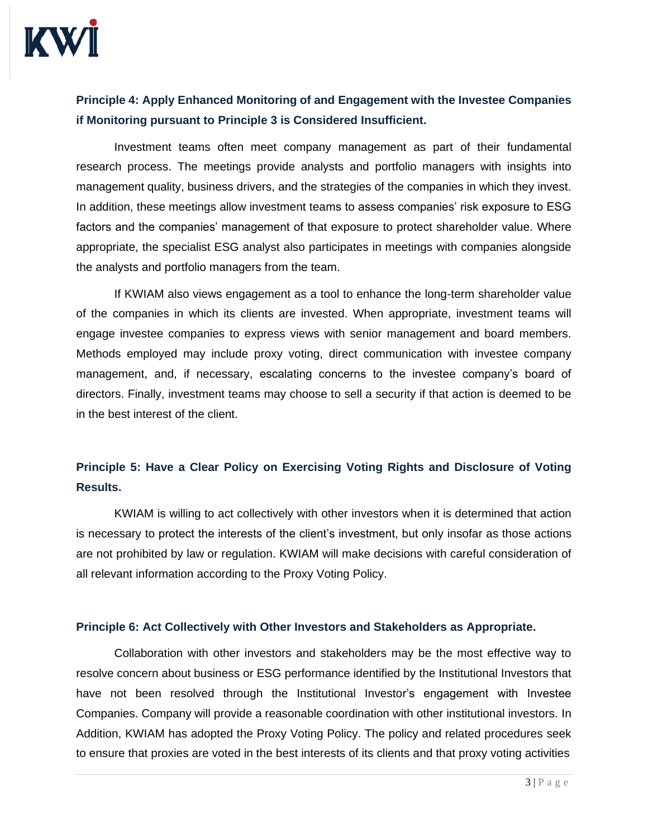

### **Principle 4: Apply Enhanced Monitoring of and Engagement with the Investee Companies if Monitoring pursuant to Principle 3 is Considered Insufficient.**

Investment teams often meet company management as part of their fundamental research process. The meetings provide analysts and portfolio managers with insights into management quality, business drivers, and the strategies of the companies in which they invest. In addition, these meetings allow investment teams to assess companies' risk exposure to ESG factors and the companies' management of that exposure to protect shareholder value. Where appropriate, the specialist ESG analyst also participates in meetings with companies alongside the analysts and portfolio managers from the team.

If KWIAM also views engagement as a tool to enhance the long-term shareholder value of the companies in which its clients are invested. When appropriate, investment teams will engage investee companies to express views with senior management and board members. Methods employed may include proxy voting, direct communication with investee company management, and, if necessary, escalating concerns to the investee company's board of directors. Finally, investment teams may choose to sell a security if that action is deemed to be in the best interest of the client.

## **Principle 5: Have a Clear Policy on Exercising Voting Rights and Disclosure of Voting Results.**

KWIAM is willing to act collectively with other investors when it is determined that action is necessary to protect the interests of the client's investment, but only insofar as those actions are not prohibited by law or regulation. KWIAM will make decisions with careful consideration of all relevant information according to the Proxy Voting Policy.

#### **Principle 6: Act Collectively with Other Investors and Stakeholders as Appropriate.**

Collaboration with other investors and stakeholders may be the most effective way to resolve concern about business or ESG performance identified by the Institutional Investors that have not been resolved through the Institutional Investor's engagement with Investee Companies. Company will provide a reasonable coordination with other institutional investors. In Addition, KWIAM has adopted the Proxy Voting Policy. The policy and related procedures seek to ensure that proxies are voted in the best interests of its clients and that proxy voting activities